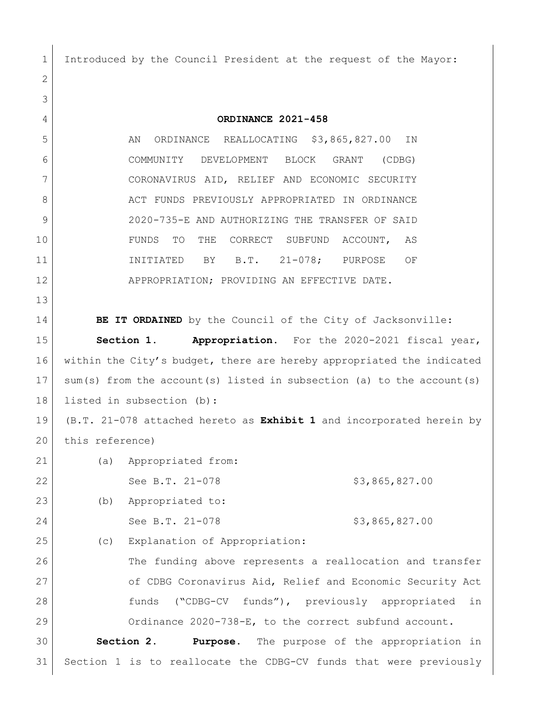Introduced by the Council President at the request of the Mayor:

 **ORDINANCE 2021-458** 5 | AN ORDINANCE REALLOCATING \$3,865,827.00 IN COMMUNITY DEVELOPMENT BLOCK GRANT (CDBG) CORONAVIRUS AID, RELIEF AND ECONOMIC SECURITY 8 ACT FUNDS PREVIOUSLY APPROPRIATED IN ORDINANCE 2020-735-E AND AUTHORIZING THE TRANSFER OF SAID FUNDS TO THE CORRECT SUBFUND ACCOUNT, AS 11 INITIATED BY B.T. 21-078; PURPOSE OF 12 APPROPRIATION; PROVIDING AN EFFECTIVE DATE. **BE IT ORDAINED** by the Council of the City of Jacksonville: **Section 1. Appropriation.** For the 2020-2021 fiscal year, 16 within the City's budget, there are hereby appropriated the indicated sum(s) from the account(s) listed in subsection (a) to the account(s) listed in subsection (b): (B.T. 21-078 attached hereto as **Exhibit 1** and incorporated herein by 20 this reference) (a) Appropriated from: 22 See B.T. 21-078 \$3,865,827.00 (b) Appropriated to: 24 See B.T. 21-078 \$3,865,827.00 25 (c) Explanation of Appropriation: 26 The funding above represents a reallocation and transfer of CDBG Coronavirus Aid, Relief and Economic Security Act funds ("CDBG-CV funds"), previously appropriated in Ordinance 2020-738-E, to the correct subfund account. **Section 2. Purpose.** The purpose of the appropriation in Section 1 is to reallocate the CDBG-CV funds that were previously